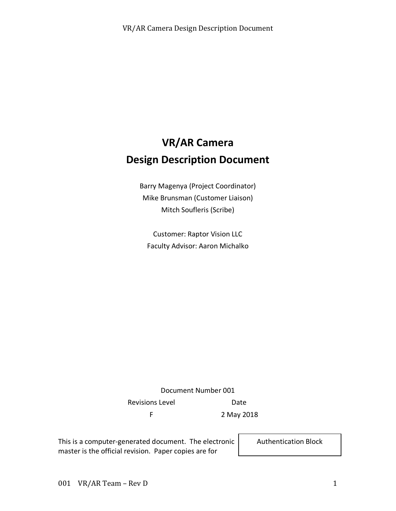# **VR/AR Camera Design Description Document**

Barry Magenya (Project Coordinator) Mike Brunsman (Customer Liaison) Mitch Soufleris (Scribe)

Customer: Raptor Vision LLC Faculty Advisor: Aaron Michalko

Document Number 001 Revisions Level **Date** F 2 May 2018

This is a computer-generated document. The electronic master is the official revision. Paper copies are for

Authentication Block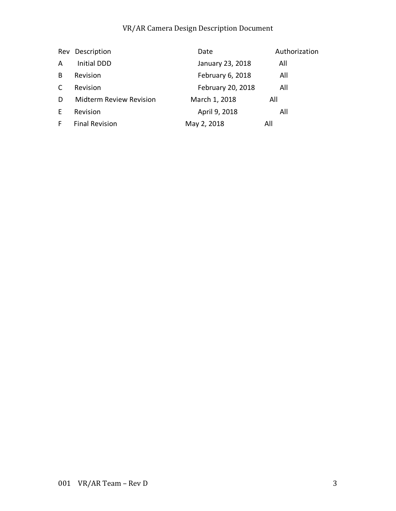| Rev | Description                    | Date              | Authorization |
|-----|--------------------------------|-------------------|---------------|
| A   | <b>Initial DDD</b>             | January 23, 2018  | All           |
| B   | Revision                       | February 6, 2018  | All           |
| C   | Revision                       | February 20, 2018 | All           |
| D.  | <b>Midterm Review Revision</b> | March 1, 2018     | All           |
| E.  | Revision                       | April 9, 2018     | All           |
| F.  | <b>Final Revision</b>          | May 2, 2018       | All           |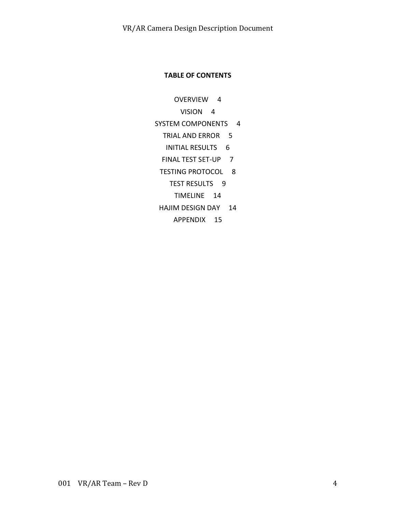#### **TABLE OF CONTENTS**

- OVERVIEW 4
	- VISION 4
- SYSTEM COMPONENTS 4
	- TRIAL AND ERROR 5
	- INITIAL RESULTS 6
	- FINAL TEST SET-UP 7
	- TESTING PROTOCOL 8
		- TEST RESULTS 9
			- TIMELINE 14
	- HAJIM DESIGN DAY 14
		- APPENDIX 15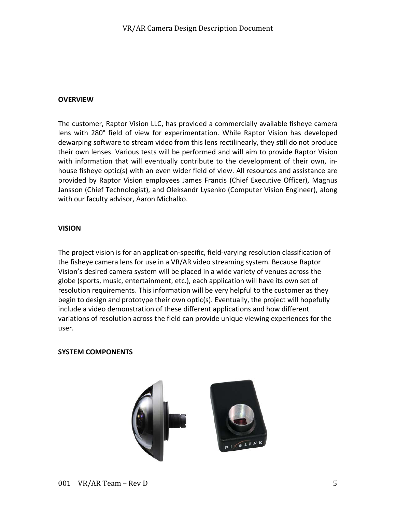#### **OVERVIEW**

The customer, Raptor Vision LLC, has provided a commercially available fisheye camera lens with 280° field of view for experimentation. While Raptor Vision has developed dewarping software to stream video from this lens rectilinearly, they still do not produce their own lenses. Various tests will be performed and will aim to provide Raptor Vision with information that will eventually contribute to the development of their own, inhouse fisheye optic(s) with an even wider field of view. All resources and assistance are provided by Raptor Vision employees James Francis (Chief Executive Officer), Magnus Jansson (Chief Technologist), and Oleksandr Lysenko (Computer Vision Engineer), along with our faculty advisor, Aaron Michalko.

#### **VISION**

The project vision is for an application-specific, field-varying resolution classification of the fisheye camera lens for use in a VR/AR video streaming system. Because Raptor Vision's desired camera system will be placed in a wide variety of venues across the globe (sports, music, entertainment, etc.), each application will have its own set of resolution requirements. This information will be very helpful to the customer as they begin to design and prototype their own optic(s). Eventually, the project will hopefully include a video demonstration of these different applications and how different variations of resolution across the field can provide unique viewing experiences for the user.

#### **SYSTEM COMPONENTS**

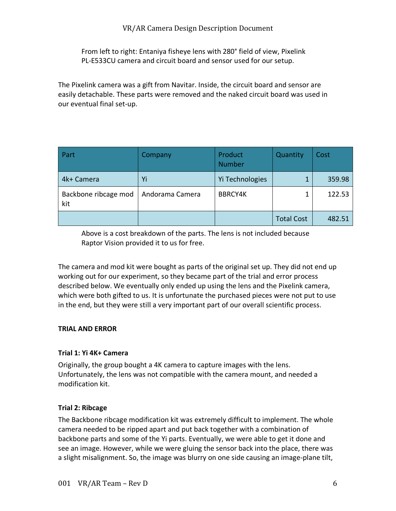From left to right: Entaniya fisheye lens with 280° field of view, Pixelink PL-E533CU camera and circuit board and sensor used for our setup.

The Pixelink camera was a gift from Navitar. Inside, the circuit board and sensor are easily detachable. These parts were removed and the naked circuit board was used in our eventual final set-up.

| Part                        | Company         | Product<br><b>Number</b> | Quantity          | Cost   |
|-----------------------------|-----------------|--------------------------|-------------------|--------|
| 4k+ Camera                  | Yi              | Yi Technologies          |                   | 359.98 |
| Backbone ribcage mod<br>kit | Andorama Camera | <b>BBRCY4K</b>           |                   | 122.53 |
|                             |                 |                          | <b>Total Cost</b> | 482.51 |

Above is a cost breakdown of the parts. The lens is not included because Raptor Vision provided it to us for free.

The camera and mod kit were bought as parts of the original set up. They did not end up working out for our experiment, so they became part of the trial and error process described below. We eventually only ended up using the lens and the Pixelink camera, which were both gifted to us. It is unfortunate the purchased pieces were not put to use in the end, but they were still a very important part of our overall scientific process.

#### **TRIAL AND ERROR**

#### **Trial 1: Yi 4K+ Camera**

Originally, the group bought a 4K camera to capture images with the lens. Unfortunately, the lens was not compatible with the camera mount, and needed a modification kit.

#### **Trial 2: Ribcage**

The Backbone ribcage modification kit was extremely difficult to implement. The whole camera needed to be ripped apart and put back together with a combination of backbone parts and some of the Yi parts. Eventually, we were able to get it done and see an image. However, while we were gluing the sensor back into the place, there was a slight misalignment. So, the image was blurry on one side causing an image-plane tilt,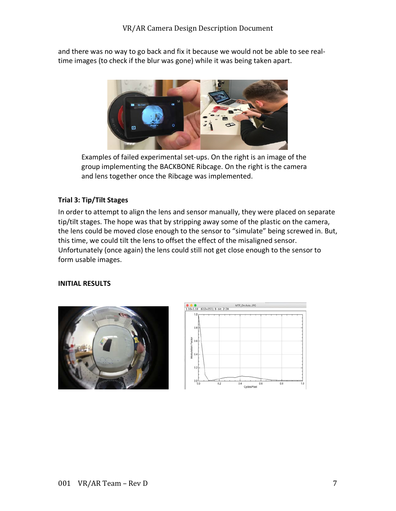and there was no way to go back and fix it because we would not be able to see realtime images (to check if the blur was gone) while it was being taken apart.



Examples of failed experimental set-ups. On the right is an image of the group implementing the BACKBONE Ribcage. On the right is the camera and lens together once the Ribcage was implemented.

#### **Trial 3: Tip/Tilt Stages**

In order to attempt to align the lens and sensor manually, they were placed on separate tip/tilt stages. The hope was that by stripping away some of the plastic on the camera, the lens could be moved close enough to the sensor to "simulate" being screwed in. But, this time, we could tilt the lens to offset the effect of the misaligned sensor. Unfortunately (once again) the lens could still not get close enough to the sensor to form usable images.

# **INITIAL RESULTS**



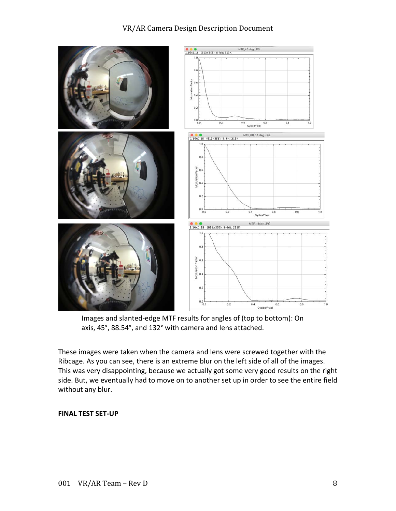

Images and slanted-edge MTF results for angles of (top to bottom): On axis, 45°, 88.54°, and 132° with camera and lens attached.

These images were taken when the camera and lens were screwed together with the Ribcage. As you can see, there is an extreme blur on the left side of all of the images. This was very disappointing, because we actually got some very good results on the right side. But, we eventually had to move on to another set up in order to see the entire field without any blur.

#### **FINAL TEST SET-UP**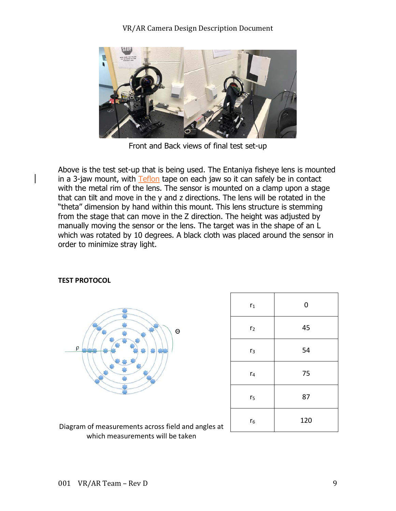

Front and Back views of final test set-up

Above is the test set-up that is being used. The Entaniya fisheye lens is mounted in a 3-jaw mount, with Teflon tape on each jaw so it can safely be in contact with the metal rim of the lens. The sensor is mounted on a clamp upon a stage that can tilt and move in the y and z directions. The lens will be rotated in the "theta" dimension by hand within this mount. This lens structure is stemming from the stage that can move in the Z direction. The height was adjusted by manually moving the sensor or the lens. The target was in the shape of an L which was rotated by 10 degrees. A black cloth was placed around the sensor in order to minimize stray light.



| $r_1$          | $\mathbf 0$ |
|----------------|-------------|
| r <sub>2</sub> | 45          |
| r <sub>3</sub> | 54          |
| r <sub>4</sub> | 75          |
| r <sub>5</sub> | 87          |
| $r_6$          | 120         |

#### **TEST PROTOCOL**

Diagram of measurements across field and angles at which measurements will be taken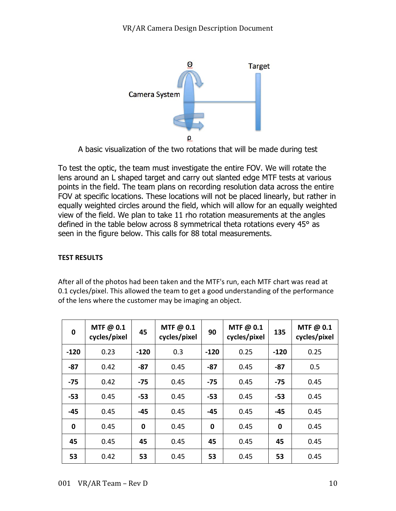

A basic visualization of the two rotations that will be made during test

To test the optic, the team must investigate the entire FOV. We will rotate the lens around an L shaped target and carry out slanted edge MTF tests at various points in the field. The team plans on recording resolution data across the entire FOV at specific locations. These locations will not be placed linearly, but rather in equally weighted circles around the field, which will allow for an equally weighted view of the field. We plan to take 11 rho rotation measurements at the angles defined in the table below across 8 symmetrical theta rotations every 45° as seen in the figure below. This calls for 88 total measurements.

# **TEST RESULTS**

After all of the photos had been taken and the MTF's run, each MTF chart was read at 0.1 cycles/pixel. This allowed the team to get a good understanding of the performance of the lens where the customer may be imaging an object.

| $\bf{0}$ | MTF $@0.1$<br>cycles/pixel | 45     | MTF $@0.1$<br>cycles/pixel | 90       | MTF $@0.1$<br>cycles/pixel | 135    | MTF@ 0.1<br>cycles/pixel |
|----------|----------------------------|--------|----------------------------|----------|----------------------------|--------|--------------------------|
| $-120$   | 0.23                       | $-120$ | 0.3                        | $-120$   | 0.25                       | $-120$ | 0.25                     |
| $-87$    | 0.42                       | $-87$  | 0.45                       | $-87$    | 0.45                       | $-87$  | 0.5                      |
| -75      | 0.42                       | $-75$  | 0.45                       | $-75$    | 0.45                       | $-75$  | 0.45                     |
| $-53$    | 0.45                       | $-53$  | 0.45                       | $-53$    | 0.45                       | $-53$  | 0.45                     |
| $-45$    | 0.45                       | $-45$  | 0.45                       | $-45$    | 0.45                       | $-45$  | 0.45                     |
| 0        | 0.45                       | 0      | 0.45                       | $\bf{0}$ | 0.45                       | 0      | 0.45                     |
| 45       | 0.45                       | 45     | 0.45                       | 45       | 0.45                       | 45     | 0.45                     |
| 53       | 0.42                       | 53     | 0.45                       | 53       | 0.45                       | 53     | 0.45                     |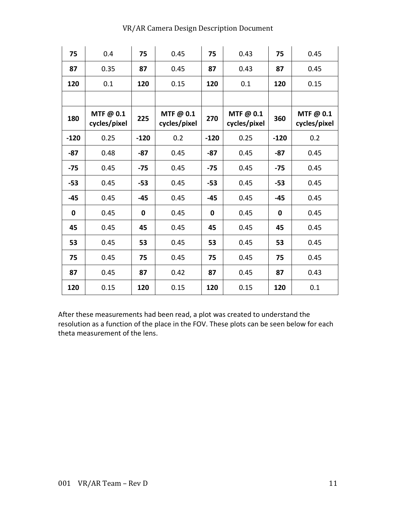| 75     | 0.4                      | 75          | 0.45                     | 75          | 0.43                     | 75          | 0.45                     |
|--------|--------------------------|-------------|--------------------------|-------------|--------------------------|-------------|--------------------------|
| 87     | 0.35                     | 87          | 0.45                     | 87          | 0.43                     | 87          | 0.45                     |
| 120    | 0.1                      | 120         | 0.15                     | 120         | 0.1                      | 120         | 0.15                     |
|        |                          |             |                          |             |                          |             |                          |
| 180    | MTF@ 0.1<br>cycles/pixel | 225         | MTF@ 0.1<br>cycles/pixel | 270         | MTF@ 0.1<br>cycles/pixel | 360         | MTF@ 0.1<br>cycles/pixel |
| $-120$ | 0.25                     | $-120$      | 0.2                      | $-120$      | 0.25                     | $-120$      | 0.2                      |
| $-87$  | 0.48                     | $-87$       | 0.45                     | $-87$       | 0.45                     | $-87$       | 0.45                     |
| $-75$  | 0.45                     | $-75$       | 0.45                     | $-75$       | 0.45                     | $-75$       | 0.45                     |
| $-53$  | 0.45                     | $-53$       | 0.45                     | $-53$       | 0.45                     | $-53$       | 0.45                     |
| $-45$  | 0.45                     | $-45$       | 0.45                     | $-45$       | 0.45                     | $-45$       | 0.45                     |
| 0      | 0.45                     | $\mathbf 0$ | 0.45                     | $\mathbf 0$ | 0.45                     | $\mathbf 0$ | 0.45                     |
| 45     | 0.45                     | 45          | 0.45                     | 45          | 0.45                     | 45          | 0.45                     |
| 53     | 0.45                     | 53          | 0.45                     | 53          | 0.45                     | 53          | 0.45                     |
| 75     | 0.45                     | 75          | 0.45                     | 75          | 0.45                     | 75          | 0.45                     |
| 87     | 0.45                     | 87          | 0.42                     | 87          | 0.45                     | 87          | 0.43                     |
| 120    | 0.15                     | 120         | 0.15                     | 120         | 0.15                     | 120         | 0.1                      |

After these measurements had been read, a plot was created to understand the resolution as a function of the place in the FOV. These plots can be seen below for each theta measurement of the lens.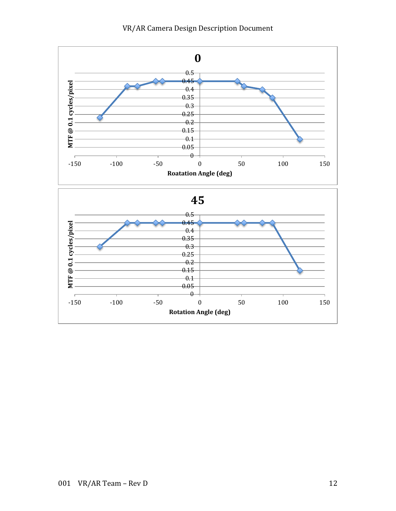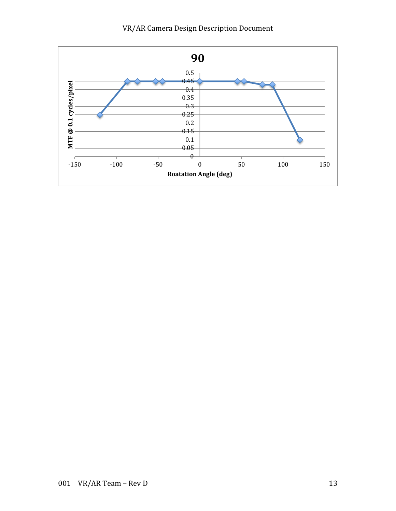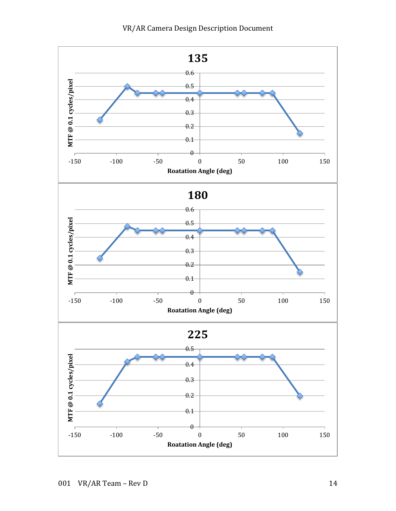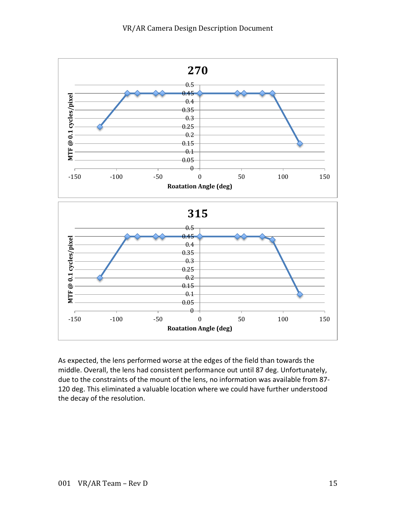

As expected, the lens performed worse at the edges of the field than towards the middle. Overall, the lens had consistent performance out until 87 deg. Unfortunately, due to the constraints of the mount of the lens, no information was available from 87- 120 deg. This eliminated a valuable location where we could have further understood the decay of the resolution.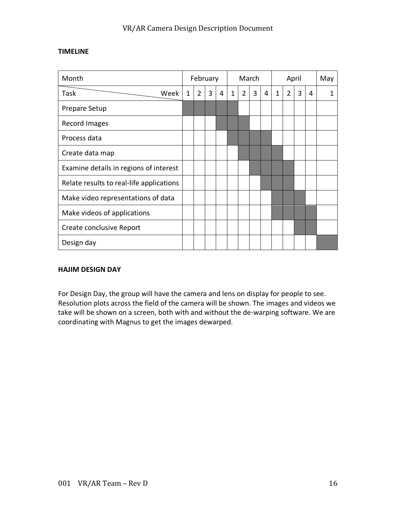# VR/AR Camera Design Description Document

#### **TIMELINE**

| Month                                    |             | February       |   |   | March        |                |   |   | April        |                |   |   | May |
|------------------------------------------|-------------|----------------|---|---|--------------|----------------|---|---|--------------|----------------|---|---|-----|
| Task<br>Week                             | $\mathbf 1$ | $\overline{2}$ | 3 | 4 | $\mathbf{1}$ | $\overline{2}$ | 3 | 4 | $\mathbf{1}$ | $\overline{2}$ | 3 | 4 |     |
| Prepare Setup                            |             |                |   |   |              |                |   |   |              |                |   |   |     |
| Record Images                            |             |                |   |   |              |                |   |   |              |                |   |   |     |
| Process data                             |             |                |   |   |              |                |   |   |              |                |   |   |     |
| Create data map                          |             |                |   |   |              |                |   |   |              |                |   |   |     |
| Examine details in regions of interest   |             |                |   |   |              |                |   |   |              |                |   |   |     |
| Relate results to real-life applications |             |                |   |   |              |                |   |   |              |                |   |   |     |
| Make video representations of data       |             |                |   |   |              |                |   |   |              |                |   |   |     |
| Make videos of applications              |             |                |   |   |              |                |   |   |              |                |   |   |     |
| Create conclusive Report                 |             |                |   |   |              |                |   |   |              |                |   |   |     |
| Design day                               |             |                |   |   |              |                |   |   |              |                |   |   |     |

#### **HAJIM DESIGN DAY**

For Design Day, the group will have the camera and lens on display for people to see. Resolution plots across the field of the camera will be shown. The images and videos we take will be shown on a screen, both with and without the de-warping software. We are coordinating with Magnus to get the images dewarped.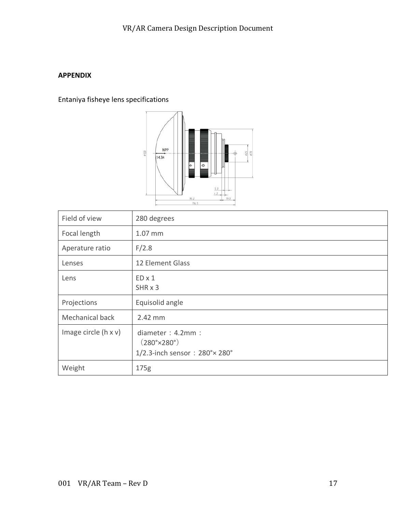# **APPENDIX**

Entaniya fisheye lens specifications



| Field of view               | 280 degrees                                                                   |
|-----------------------------|-------------------------------------------------------------------------------|
| Focal length                | 1.07 mm                                                                       |
| Aperature ratio             | F/2.8                                                                         |
| Lenses                      | 12 Element Glass                                                              |
| Lens                        | $ED \times 1$<br>SHR x 3                                                      |
| Projections                 | Equisolid angle                                                               |
| Mechanical back             | 2.42 mm                                                                       |
| Image circle $(h \times v)$ | diameter : $4.2$ mm :<br>$(280° \times 280°)$<br>1/2.3-inch sensor: 280°×280° |
| Weight                      | 175g                                                                          |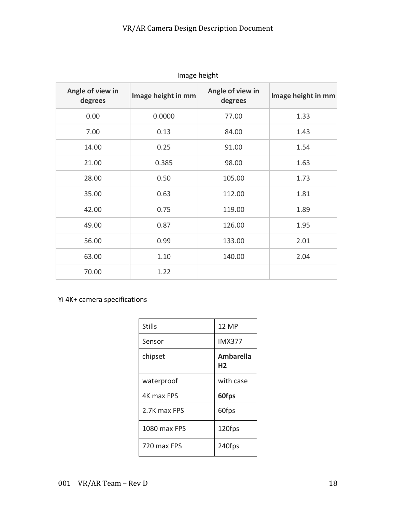| ייישה ייכיהיינ              |                    |                             |                    |  |  |  |
|-----------------------------|--------------------|-----------------------------|--------------------|--|--|--|
| Angle of view in<br>degrees | Image height in mm | Angle of view in<br>degrees | Image height in mm |  |  |  |
| 0.00                        | 0.0000             | 77.00                       | 1.33               |  |  |  |
| 7.00                        | 0.13               | 84.00                       | 1.43               |  |  |  |
| 14.00                       | 0.25               | 91.00                       | 1.54               |  |  |  |
| 21.00                       | 0.385              | 98.00                       | 1.63               |  |  |  |
| 28.00                       | 0.50               | 105.00                      | 1.73               |  |  |  |
| 35.00                       | 0.63               | 112.00                      | 1.81               |  |  |  |
| 42.00                       | 0.75               | 119.00                      | 1.89               |  |  |  |
| 49.00                       | 0.87               | 126.00                      | 1.95               |  |  |  |
| 56.00                       | 0.99               | 133.00                      | 2.01               |  |  |  |
| 63.00                       | 1.10               | 140.00                      | 2.04               |  |  |  |
| 70.00                       | 1.22               |                             |                    |  |  |  |

Image height

# Yi 4K+ camera specifications

| <b>Stills</b> | <b>12 MP</b>                       |
|---------------|------------------------------------|
| Sensor        | <b>IMX377</b>                      |
| chipset       | <b>Ambarella</b><br>H <sub>2</sub> |
| waterproof    | with case                          |
| 4K max FPS    | 60fps                              |
| 2.7K max FPS  | 60fps                              |
| 1080 max FPS  | 120fps                             |
| 720 max FPS   | 240fps                             |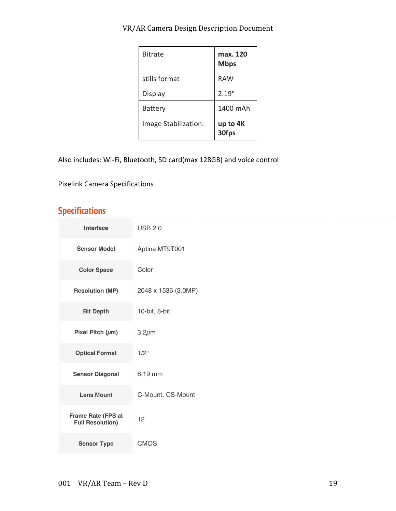| <b>Bitrate</b>       | max. 120<br><b>Mbps</b> |
|----------------------|-------------------------|
| stills format        | <b>RAW</b>              |
| Display              | 2.19"                   |
| Battery              | 1400 mAh                |
| Image Stabilization: | up to 4K<br>30fps       |

Also includes: Wi-Fi, Bluetooth, SD card(max 128GB) and voice control

Pixelink Camera Specifications

# **Specifications**

| Interface                                     | <b>USB 2.0</b>      |
|-----------------------------------------------|---------------------|
| <b>Sensor Model</b>                           | Aptina MT9T001      |
| <b>Color Space</b>                            | Color               |
| <b>Resolution (MP)</b>                        | 2048 x 1536 (3.0MP) |
| <b>Bit Depth</b>                              | 10-bit, 8-bit       |
| Pixel Pitch $(\mu m)$                         | $3.2 \mu m$         |
| <b>Optical Format</b>                         | $1/2$ "             |
| <b>Sensor Diagonal</b>                        | 8.19 mm             |
| <b>Lens Mount</b>                             | C-Mount, CS-Mount   |
| Frame Rate (FPS at<br><b>Full Resolution)</b> | 12                  |
| <b>Sensor Type</b>                            | <b>CMOS</b>         |